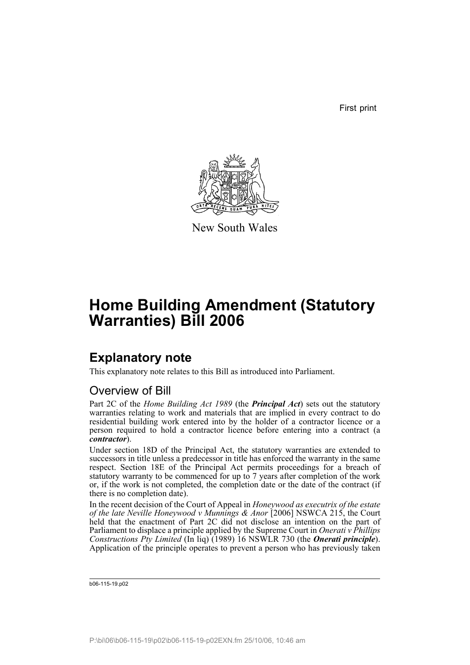First print



New South Wales

# **Home Building Amendment (Statutory Warranties) Bill 2006**

# **Explanatory note**

This explanatory note relates to this Bill as introduced into Parliament.

## Overview of Bill

Part 2C of the *Home Building Act 1989* (the *Principal Act*) sets out the statutory warranties relating to work and materials that are implied in every contract to do residential building work entered into by the holder of a contractor licence or a person required to hold a contractor licence before entering into a contract (a *contractor*).

Under section 18D of the Principal Act, the statutory warranties are extended to successors in title unless a predecessor in title has enforced the warranty in the same respect. Section 18E of the Principal Act permits proceedings for a breach of statutory warranty to be commenced for up to 7 years after completion of the work or, if the work is not completed, the completion date or the date of the contract (if there is no completion date).

In the recent decision of the Court of Appeal in *Honeywood as executrix of the estate of the late Neville Honeywood v Munnings & Anor* [2006] NSWCA 215, the Court held that the enactment of Part 2C did not disclose an intention on the part of Parliament to displace a principle applied by the Supreme Court in *Onerati v Phillips Constructions Pty Limited* (In liq) (1989) 16 NSWLR 730 (the *Onerati principle*). Application of the principle operates to prevent a person who has previously taken

b06-115-19.p02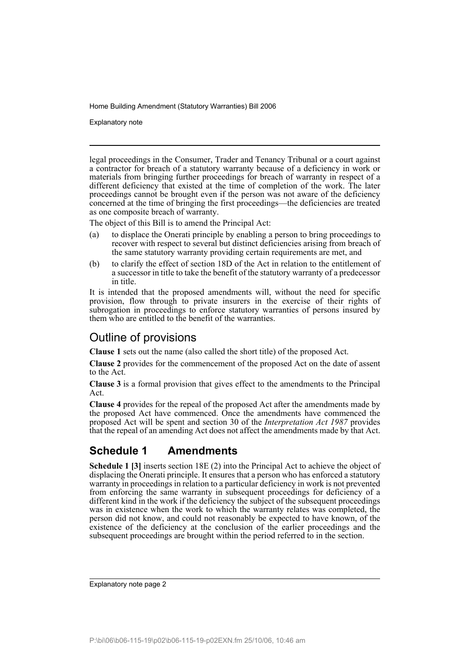Explanatory note

legal proceedings in the Consumer, Trader and Tenancy Tribunal or a court against a contractor for breach of a statutory warranty because of a deficiency in work or materials from bringing further proceedings for breach of warranty in respect of a different deficiency that existed at the time of completion of the work. The later proceedings cannot be brought even if the person was not aware of the deficiency concerned at the time of bringing the first proceedings—the deficiencies are treated as one composite breach of warranty.

The object of this Bill is to amend the Principal Act:

- (a) to displace the Onerati principle by enabling a person to bring proceedings to recover with respect to several but distinct deficiencies arising from breach of the same statutory warranty providing certain requirements are met, and
- (b) to clarify the effect of section 18D of the Act in relation to the entitlement of a successor in title to take the benefit of the statutory warranty of a predecessor in title.

It is intended that the proposed amendments will, without the need for specific provision, flow through to private insurers in the exercise of their rights of subrogation in proceedings to enforce statutory warranties of persons insured by them who are entitled to the benefit of the warranties.

## Outline of provisions

**Clause 1** sets out the name (also called the short title) of the proposed Act.

**Clause 2** provides for the commencement of the proposed Act on the date of assent to the Act.

**Clause 3** is a formal provision that gives effect to the amendments to the Principal Act.

**Clause 4** provides for the repeal of the proposed Act after the amendments made by the proposed Act have commenced. Once the amendments have commenced the proposed Act will be spent and section 30 of the *Interpretation Act 1987* provides that the repeal of an amending Act does not affect the amendments made by that Act.

### **Schedule 1 Amendments**

**Schedule 1 [3]** inserts section 18E (2) into the Principal Act to achieve the object of displacing the Onerati principle. It ensures that a person who has enforced a statutory warranty in proceedings in relation to a particular deficiency in work is not prevented from enforcing the same warranty in subsequent proceedings for deficiency of a different kind in the work if the deficiency the subject of the subsequent proceedings was in existence when the work to which the warranty relates was completed, the person did not know, and could not reasonably be expected to have known, of the existence of the deficiency at the conclusion of the earlier proceedings and the subsequent proceedings are brought within the period referred to in the section.

Explanatory note page 2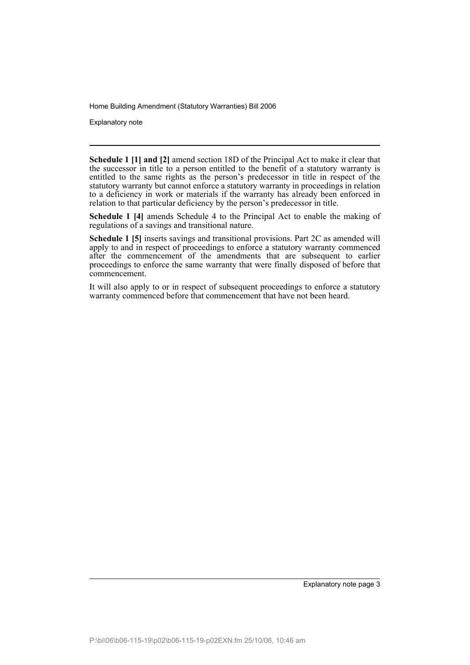Explanatory note

**Schedule 1 [1] and [2]** amend section 18D of the Principal Act to make it clear that the successor in title to a person entitled to the benefit of a statutory warranty is entitled to the same rights as the person's predecessor in title in respect of the statutory warranty but cannot enforce a statutory warranty in proceedings in relation to a deficiency in work or materials if the warranty has already been enforced in relation to that particular deficiency by the person's predecessor in title.

**Schedule 1 [4]** amends Schedule 4 to the Principal Act to enable the making of regulations of a savings and transitional nature.

**Schedule 1 [5]** inserts savings and transitional provisions. Part 2C as amended will apply to and in respect of proceedings to enforce a statutory warranty commenced after the commencement of the amendments that are subsequent to earlier proceedings to enforce the same warranty that were finally disposed of before that commencement.

It will also apply to or in respect of subsequent proceedings to enforce a statutory warranty commenced before that commencement that have not been heard.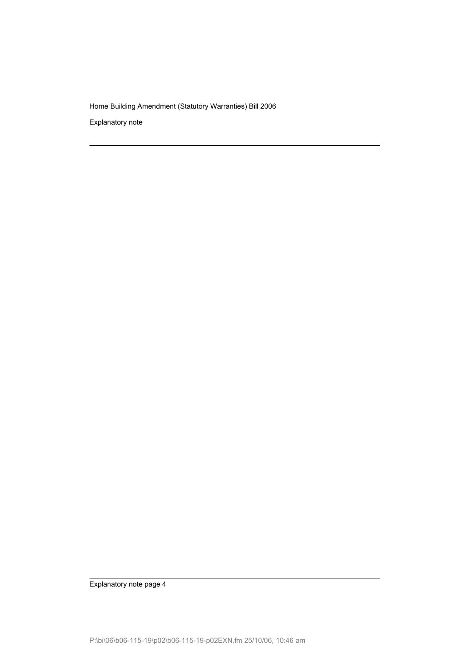Explanatory note

Explanatory note page 4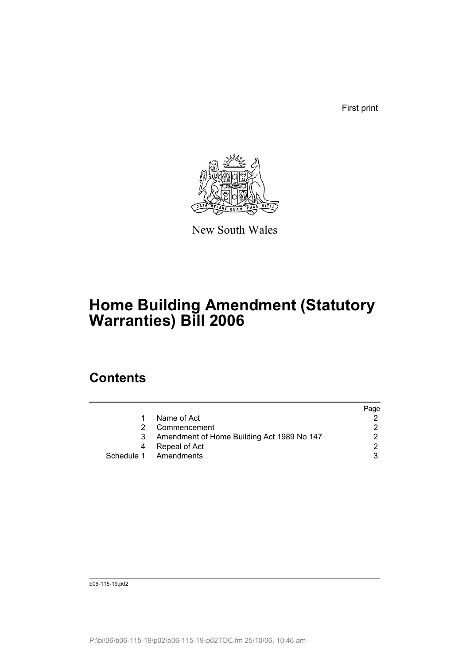First print



New South Wales

# **Home Building Amendment (Statutory Warranties) Bill 2006**

## **Contents**

|    |                                            | Page          |
|----|--------------------------------------------|---------------|
|    | Name of Act                                |               |
|    | Commencement                               | 2.            |
| 3. | Amendment of Home Building Act 1989 No 147 | $\mathcal{P}$ |
|    | Repeal of Act                              | $\mathcal{P}$ |
|    | Schedule 1 Amendments                      | 3             |

b06-115-19.p02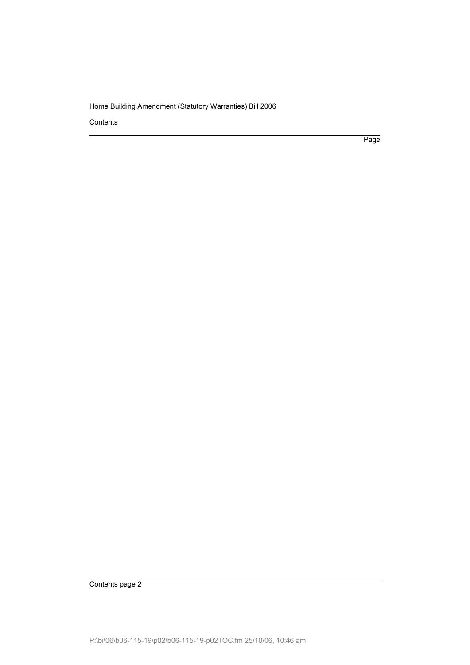Contents

Page

Contents page 2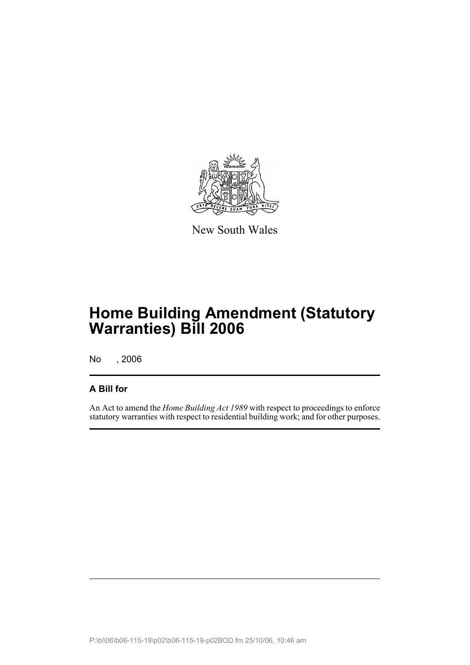

New South Wales

# **Home Building Amendment (Statutory Warranties) Bill 2006**

No , 2006

### **A Bill for**

An Act to amend the *Home Building Act 1989* with respect to proceedings to enforce statutory warranties with respect to residential building work; and for other purposes.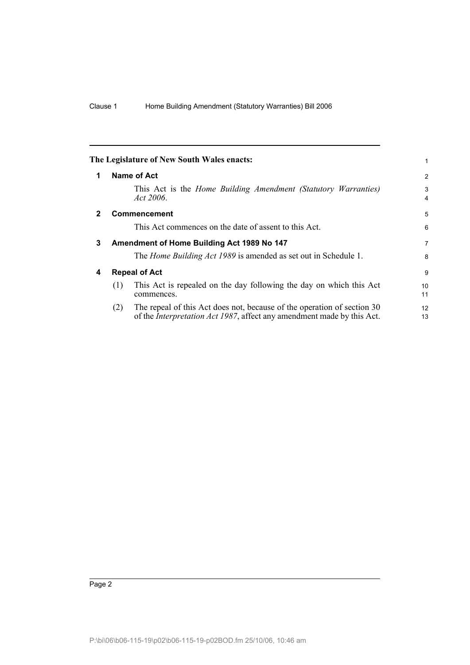|              |     | The Legislature of New South Wales enacts:                                                                                                                | 1              |
|--------------|-----|-----------------------------------------------------------------------------------------------------------------------------------------------------------|----------------|
| 1            |     | <b>Name of Act</b>                                                                                                                                        | $\overline{2}$ |
|              |     | This Act is the <i>Home Building Amendment (Statutory Warranties)</i><br>Act 2006.                                                                        | 3<br>4         |
| $\mathbf{2}$ |     | <b>Commencement</b>                                                                                                                                       | 5              |
|              |     | This Act commences on the date of assent to this Act.                                                                                                     | 6              |
| 3            |     | Amendment of Home Building Act 1989 No 147                                                                                                                | 7              |
|              |     | The <i>Home Building Act 1989</i> is amended as set out in Schedule 1.                                                                                    | 8              |
| 4            |     | <b>Repeal of Act</b>                                                                                                                                      | 9              |
|              | (1) | This Act is repealed on the day following the day on which this Act<br>commences.                                                                         | 10<br>11       |
|              | (2) | The repeal of this Act does not, because of the operation of section 30<br>of the <i>Interpretation Act 1987</i> , affect any amendment made by this Act. | 12<br>13       |
|              |     |                                                                                                                                                           |                |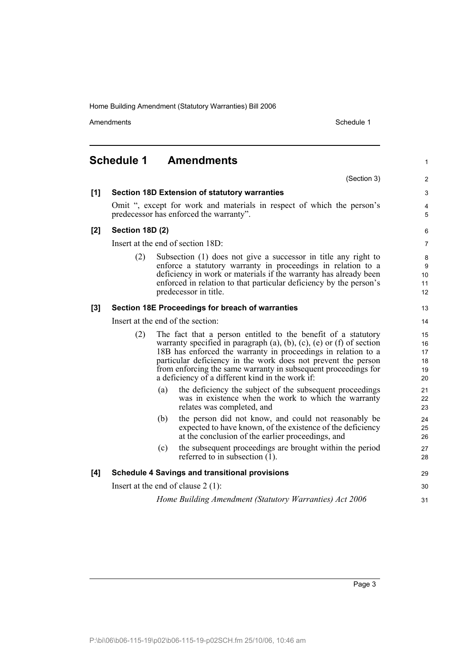Amendments Schedule 1

|       | <b>Schedule 1</b>                                                                                                 |                                                                                                                                                                                                                                                                                                                                                                                                            | Amendments                                                                                                                                                                                                                                                                                        | $\mathbf{1}$             |
|-------|-------------------------------------------------------------------------------------------------------------------|------------------------------------------------------------------------------------------------------------------------------------------------------------------------------------------------------------------------------------------------------------------------------------------------------------------------------------------------------------------------------------------------------------|---------------------------------------------------------------------------------------------------------------------------------------------------------------------------------------------------------------------------------------------------------------------------------------------------|--------------------------|
|       |                                                                                                                   |                                                                                                                                                                                                                                                                                                                                                                                                            | (Section 3)                                                                                                                                                                                                                                                                                       | $\overline{2}$           |
| [1]   | <b>Section 18D Extension of statutory warranties</b>                                                              |                                                                                                                                                                                                                                                                                                                                                                                                            |                                                                                                                                                                                                                                                                                                   |                          |
|       | Omit ", except for work and materials in respect of which the person's<br>predecessor has enforced the warranty". |                                                                                                                                                                                                                                                                                                                                                                                                            |                                                                                                                                                                                                                                                                                                   |                          |
| $[2]$ | <b>Section 18D (2)</b>                                                                                            |                                                                                                                                                                                                                                                                                                                                                                                                            |                                                                                                                                                                                                                                                                                                   |                          |
|       | Insert at the end of section 18D:                                                                                 |                                                                                                                                                                                                                                                                                                                                                                                                            |                                                                                                                                                                                                                                                                                                   |                          |
|       | (2)                                                                                                               |                                                                                                                                                                                                                                                                                                                                                                                                            | Subsection (1) does not give a successor in title any right to<br>enforce a statutory warranty in proceedings in relation to a<br>deficiency in work or materials if the warranty has already been<br>enforced in relation to that particular deficiency by the person's<br>predecessor in title. | 8<br>9<br>10<br>11<br>12 |
| $[3]$ | Section 18E Proceedings for breach of warranties                                                                  |                                                                                                                                                                                                                                                                                                                                                                                                            |                                                                                                                                                                                                                                                                                                   | 13                       |
|       | Insert at the end of the section:                                                                                 |                                                                                                                                                                                                                                                                                                                                                                                                            |                                                                                                                                                                                                                                                                                                   | 14                       |
|       | (2)                                                                                                               | The fact that a person entitled to the benefit of a statutory<br>warranty specified in paragraph $(a)$ , $(b)$ , $(c)$ , $(e)$ or $(f)$ of section<br>18B has enforced the warranty in proceedings in relation to a<br>particular deficiency in the work does not prevent the person<br>from enforcing the same warranty in subsequent proceedings for<br>a deficiency of a different kind in the work if: |                                                                                                                                                                                                                                                                                                   |                          |
|       |                                                                                                                   | (a)                                                                                                                                                                                                                                                                                                                                                                                                        | the deficiency the subject of the subsequent proceedings<br>was in existence when the work to which the warranty<br>relates was completed, and                                                                                                                                                    | 21<br>22<br>23           |
|       |                                                                                                                   | (b)                                                                                                                                                                                                                                                                                                                                                                                                        | the person did not know, and could not reasonably be<br>expected to have known, of the existence of the deficiency<br>at the conclusion of the earlier proceedings, and                                                                                                                           | 24<br>25<br>26           |
|       |                                                                                                                   | (c)                                                                                                                                                                                                                                                                                                                                                                                                        | the subsequent proceedings are brought within the period<br>referred to in subsection $(1)$ .                                                                                                                                                                                                     | 27<br>28                 |
| [4]   | <b>Schedule 4 Savings and transitional provisions</b>                                                             |                                                                                                                                                                                                                                                                                                                                                                                                            |                                                                                                                                                                                                                                                                                                   |                          |
|       | Insert at the end of clause $2(1)$ :                                                                              |                                                                                                                                                                                                                                                                                                                                                                                                            |                                                                                                                                                                                                                                                                                                   |                          |
|       | Home Building Amendment (Statutory Warranties) Act 2006                                                           |                                                                                                                                                                                                                                                                                                                                                                                                            |                                                                                                                                                                                                                                                                                                   |                          |

Page 3